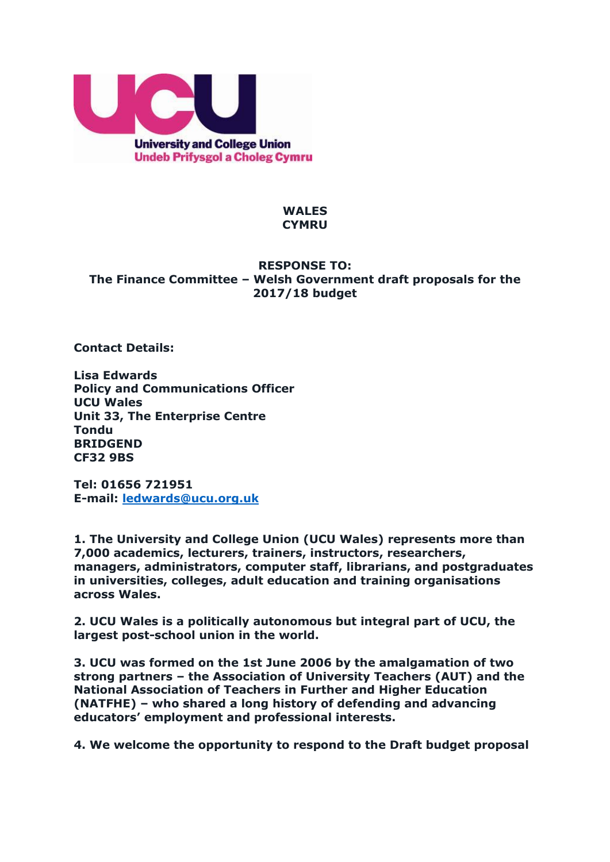

## **WALES CYMRU**

# **RESPONSE TO: The Finance Committee – Welsh Government draft proposals for the 2017/18 budget**

**Contact Details:**

**Lisa Edwards Policy and Communications Officer UCU Wales Unit 33, The Enterprise Centre Tondu BRIDGEND CF32 9BS**

**Tel: 01656 721951 E-mail: [ledwards@ucu.org.uk](mailto:ledwards@ucu.org.uk)**

**1. The University and College Union (UCU Wales) represents more than 7,000 academics, lecturers, trainers, instructors, researchers, managers, administrators, computer staff, librarians, and postgraduates in universities, colleges, adult education and training organisations across Wales.** 

**2. UCU Wales is a politically autonomous but integral part of UCU, the largest post-school union in the world.** 

**3. UCU was formed on the 1st June 2006 by the amalgamation of two strong partners – the Association of University Teachers (AUT) and the National Association of Teachers in Further and Higher Education (NATFHE) – who shared a long history of defending and advancing educators' employment and professional interests.**

**4. We welcome the opportunity to respond to the Draft budget proposal**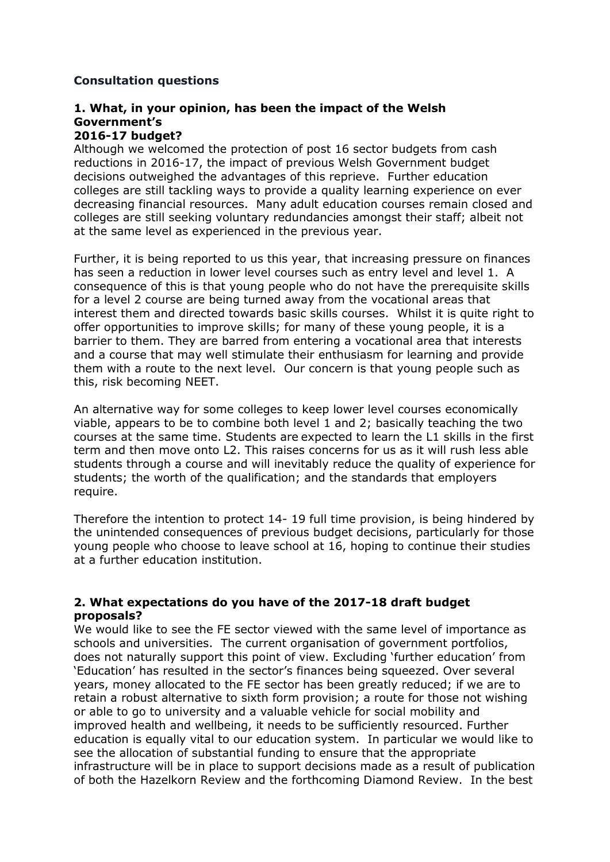# **Consultation questions**

#### **1. What, in your opinion, has been the impact of the Welsh Government's 2016-17 budget?**

Although we welcomed the protection of post 16 sector budgets from cash reductions in 2016-17, the impact of previous Welsh Government budget decisions outweighed the advantages of this reprieve. Further education colleges are still tackling ways to provide a quality learning experience on ever decreasing financial resources. Many adult education courses remain closed and colleges are still seeking voluntary redundancies amongst their staff; albeit not at the same level as experienced in the previous year.

Further, it is being reported to us this year, that increasing pressure on finances has seen a reduction in lower level courses such as entry level and level 1. A consequence of this is that young people who do not have the prerequisite skills for a level 2 course are being turned away from the vocational areas that interest them and directed towards basic skills courses. Whilst it is quite right to offer opportunities to improve skills; for many of these young people, it is a barrier to them. They are barred from entering a vocational area that interests and a course that may well stimulate their enthusiasm for learning and provide them with a route to the next level. Our concern is that young people such as this, risk becoming NEET.

An alternative way for some colleges to keep lower level courses economically viable, appears to be to combine both level 1 and 2; basically teaching the two courses at the same time. Students are expected to learn the L1 skills in the first term and then move onto L2. This raises concerns for us as it will rush less able students through a course and will inevitably reduce the quality of experience for students; the worth of the qualification; and the standards that employers require.

Therefore the intention to protect 14- 19 full time provision, is being hindered by the unintended consequences of previous budget decisions, particularly for those young people who choose to leave school at 16, hoping to continue their studies at a further education institution.

# **2. What expectations do you have of the 2017-18 draft budget proposals?**

We would like to see the FE sector viewed with the same level of importance as schools and universities. The current organisation of government portfolios, does not naturally support this point of view. Excluding 'further education' from 'Education' has resulted in the sector's finances being squeezed. Over several years, money allocated to the FE sector has been greatly reduced; if we are to retain a robust alternative to sixth form provision; a route for those not wishing or able to go to university and a valuable vehicle for social mobility and improved health and wellbeing, it needs to be sufficiently resourced. Further education is equally vital to our education system. In particular we would like to see the allocation of substantial funding to ensure that the appropriate infrastructure will be in place to support decisions made as a result of publication of both the Hazelkorn Review and the forthcoming Diamond Review. In the best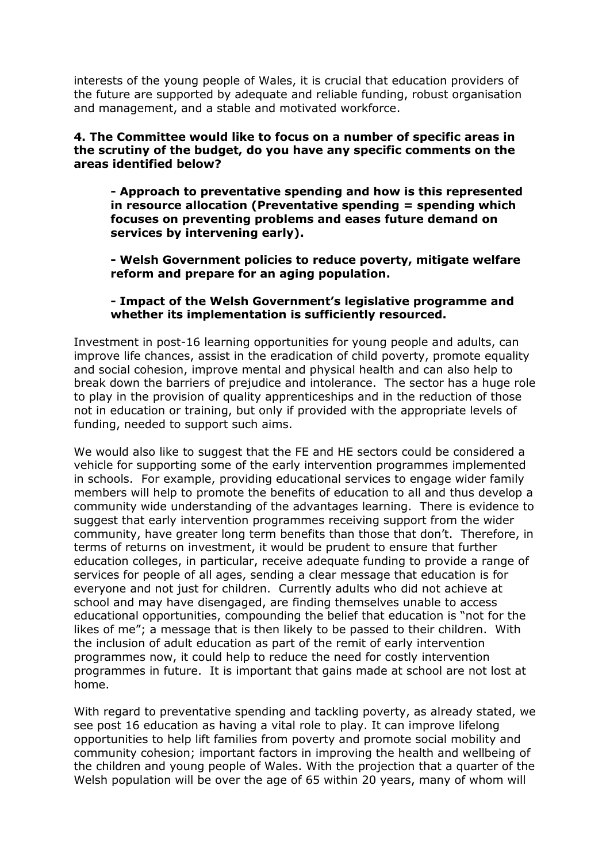interests of the young people of Wales, it is crucial that education providers of the future are supported by adequate and reliable funding, robust organisation and management, and a stable and motivated workforce.

#### **4. The Committee would like to focus on a number of specific areas in the scrutiny of the budget, do you have any specific comments on the areas identified below?**

**- Approach to preventative spending and how is this represented in resource allocation (Preventative spending = spending which focuses on preventing problems and eases future demand on services by intervening early).**

**- Welsh Government policies to reduce poverty, mitigate welfare reform and prepare for an aging population.**

### **- Impact of the Welsh Government's legislative programme and whether its implementation is sufficiently resourced.**

Investment in post-16 learning opportunities for young people and adults, can improve life chances, assist in the eradication of child poverty, promote equality and social cohesion, improve mental and physical health and can also help to break down the barriers of prejudice and intolerance. The sector has a huge role to play in the provision of quality apprenticeships and in the reduction of those not in education or training, but only if provided with the appropriate levels of funding, needed to support such aims.

We would also like to suggest that the FE and HE sectors could be considered a vehicle for supporting some of the early intervention programmes implemented in schools. For example, providing educational services to engage wider family members will help to promote the benefits of education to all and thus develop a community wide understanding of the advantages learning. There is evidence to suggest that early intervention programmes receiving support from the wider community, have greater long term benefits than those that don't. Therefore, in terms of returns on investment, it would be prudent to ensure that further education colleges, in particular, receive adequate funding to provide a range of services for people of all ages, sending a clear message that education is for everyone and not just for children. Currently adults who did not achieve at school and may have disengaged, are finding themselves unable to access educational opportunities, compounding the belief that education is "not for the likes of me"; a message that is then likely to be passed to their children. With the inclusion of adult education as part of the remit of early intervention programmes now, it could help to reduce the need for costly intervention programmes in future. It is important that gains made at school are not lost at home.

With regard to preventative spending and tackling poverty, as already stated, we see post 16 education as having a vital role to play. It can improve lifelong opportunities to help lift families from poverty and promote social mobility and community cohesion; important factors in improving the health and wellbeing of the children and young people of Wales. With the projection that a quarter of the Welsh population will be over the age of 65 within 20 years, many of whom will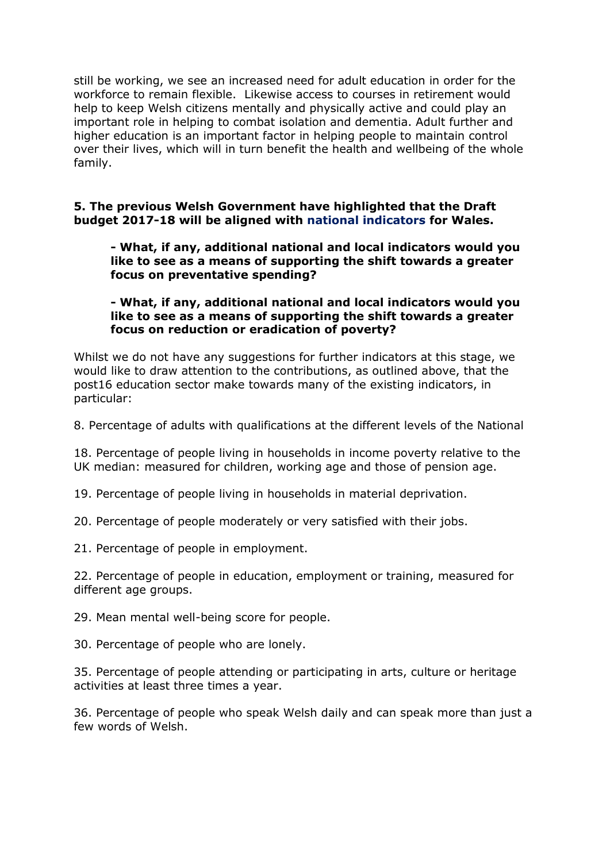still be working, we see an increased need for adult education in order for the workforce to remain flexible. Likewise access to courses in retirement would help to keep Welsh citizens mentally and physically active and could play an important role in helping to combat isolation and dementia. Adult further and higher education is an important factor in helping people to maintain control over their lives, which will in turn benefit the health and wellbeing of the whole family.

# **5. The previous Welsh Government have highlighted that the Draft budget 2017-18 will be aligned with national indicators for Wales.**

## **- What, if any, additional national and local indicators would you like to see as a means of supporting the shift towards a greater focus on preventative spending?**

## **- What, if any, additional national and local indicators would you like to see as a means of supporting the shift towards a greater focus on reduction or eradication of poverty?**

Whilst we do not have any suggestions for further indicators at this stage, we would like to draw attention to the contributions, as outlined above, that the post16 education sector make towards many of the existing indicators, in particular:

8. Percentage of adults with qualifications at the different levels of the National

18. Percentage of people living in households in income poverty relative to the UK median: measured for children, working age and those of pension age.

19. Percentage of people living in households in material deprivation.

20. Percentage of people moderately or very satisfied with their jobs.

21. Percentage of people in employment.

22. Percentage of people in education, employment or training, measured for different age groups.

29. Mean mental well-being score for people.

30. Percentage of people who are lonely.

35. Percentage of people attending or participating in arts, culture or heritage activities at least three times a year.

36. Percentage of people who speak Welsh daily and can speak more than just a few words of Welsh.